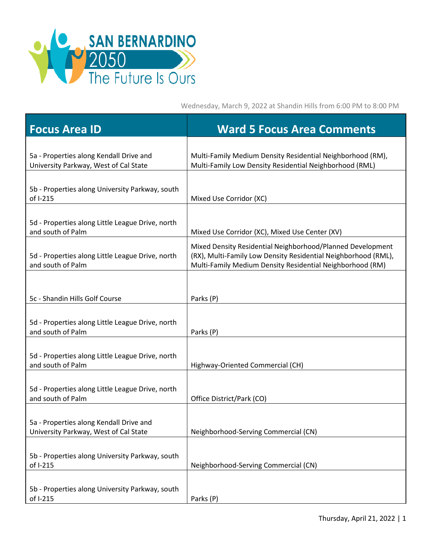

Wednesday, March 9, 2022 at Shandin Hills from 6:00 PM to 8:00 PM

| <b>Focus Area ID</b>                                                             | <b>Ward 5 Focus Area Comments</b>                                                                                                                                                         |
|----------------------------------------------------------------------------------|-------------------------------------------------------------------------------------------------------------------------------------------------------------------------------------------|
| 5a - Properties along Kendall Drive and<br>University Parkway, West of Cal State | Multi-Family Medium Density Residential Neighborhood (RM),<br>Multi-Family Low Density Residential Neighborhood (RML)                                                                     |
| 5b - Properties along University Parkway, south<br>of I-215                      | Mixed Use Corridor (XC)                                                                                                                                                                   |
| 5d - Properties along Little League Drive, north<br>and south of Palm            | Mixed Use Corridor (XC), Mixed Use Center (XV)                                                                                                                                            |
| 5d - Properties along Little League Drive, north<br>and south of Palm            | Mixed Density Residential Neighborhood/Planned Development<br>(RX), Multi-Family Low Density Residential Neighborhood (RML),<br>Multi-Family Medium Density Residential Neighborhood (RM) |
| 5c - Shandin Hills Golf Course                                                   | Parks (P)                                                                                                                                                                                 |
| 5d - Properties along Little League Drive, north<br>and south of Palm            | Parks (P)                                                                                                                                                                                 |
| 5d - Properties along Little League Drive, north<br>and south of Palm            | Highway-Oriented Commercial (CH)                                                                                                                                                          |
| 5d - Properties along Little League Drive, north<br>and south of Palm            | Office District/Park (CO)                                                                                                                                                                 |
| 5a - Properties along Kendall Drive and<br>University Parkway, West of Cal State | Neighborhood-Serving Commercial (CN)                                                                                                                                                      |
| 5b - Properties along University Parkway, south<br>of I-215                      | Neighborhood-Serving Commercial (CN)                                                                                                                                                      |
| 5b - Properties along University Parkway, south<br>of I-215                      | Parks (P)                                                                                                                                                                                 |